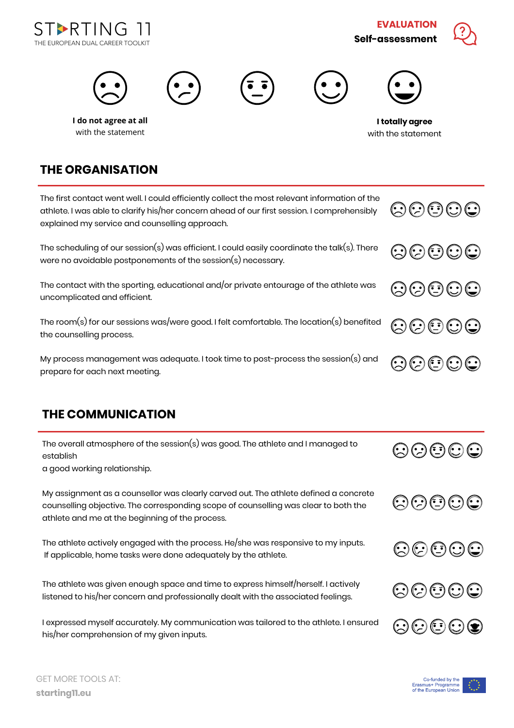

**EVALUATION Self-assessment**





## **THE ORGANISATION**

The first contact went well. I could efficiently collect the most relevant information of the athlete. I was able to clarify his/her concern ahead of our first session. I comprehensibly explained my service and counselling approach.

The scheduling of our session(s) was efficient. I could easily coordinate the talk(s). There were no avoidable postponements of the session(s) necessary.

The contact with the sporting, educational and/or private entourage of the athlete was uncomplicated and efficient.

The room(s) for our sessions was/were good. I felt comfortable. The location(s) benefited the counselling process.

My process management was adequate. I took time to post-process the session(s) and prepare for each next meeting.

## **THE COMMUNICATION**

| The overall atmosphere of the session(s) was good. The athlete and I managed to<br>establish | $\odot$ $\odot$ $\odot$ $\odot$ |
|----------------------------------------------------------------------------------------------|---------------------------------|
| a good working relationship.                                                                 |                                 |

My assignment as a counsellor was clearly carved out. The athlete defined a concrete counselling objective. The corresponding scope of counselling was clear to both the athlete and me at the beginning of the process.

The athlete actively engaged with the process. He/she was responsive to my inputs. If applicable, home tasks were done adequately by the athlete.

The athlete was given enough space and time to express himself/herself. I actively listened to his/her concern and professionally dealt with the associated feelings.

I expressed myself accurately. My communication was tailored to the athlete. I ensured his/her comprehension of my given inputs.



80000







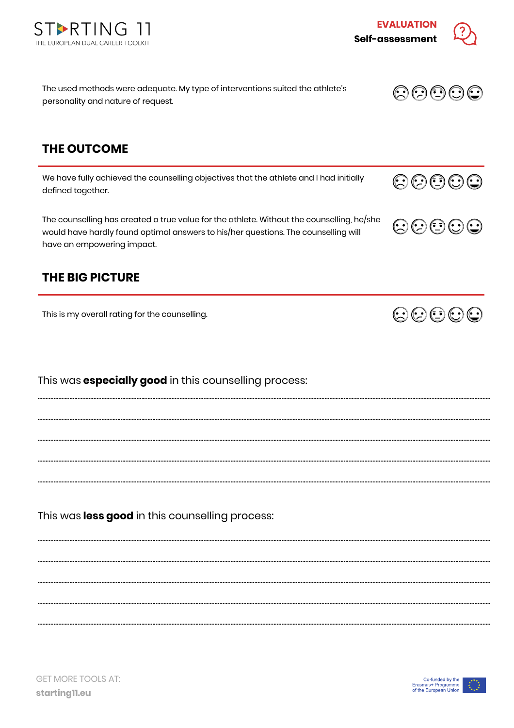

This was **less good** in this counselling process:

**THE OUTCOME**

We have fully achieved the counselling objectives that the athlete and I had initially defined together.

The used methods were adequate. My type of interventions suited the athlete's

The counselling has created a true value for the athlete. Without the counselling, he/she would have hardly found optimal answers to his/her questions. The counselling will have an empowering impact.

………………………………………………………….………………………………………………………….……………………………………………………………………………………………………………………………………

………………………………………………………….………………………………………………………….……………………………………………………………………………………………………………………………………

………………………………………………………….………………………………………………………….……………………………………………………………………………………………………………………………………

………………………………………………………….………………………………………………………….……………………………………………………………………………………………………………………………………

………………………………………………………….………………………………………………………….……………………………………………………………………………………………………………………………………

………………………………………………………….………………………………………………………….……………………………………………………………………………………………………………………………………

………………………………………………………….………………………………………………………….……………………………………………………………………………………………………………………………………

………………………………………………………….………………………………………………………….……………………………………………………………………………………………………………………………………

………………………………………………………….………………………………………………………….……………………………………………………………………………………………………………………………………

………………………………………………………….………………………………………………………….……………………………………………………………………………………………………………………………………

## **THE BIG PICTURE**

This is my overall rating for the counselling.

This was **especially good** in this counselling process:



personality and nature of request.



**EVALUATION**

**Self-assessment**



00000